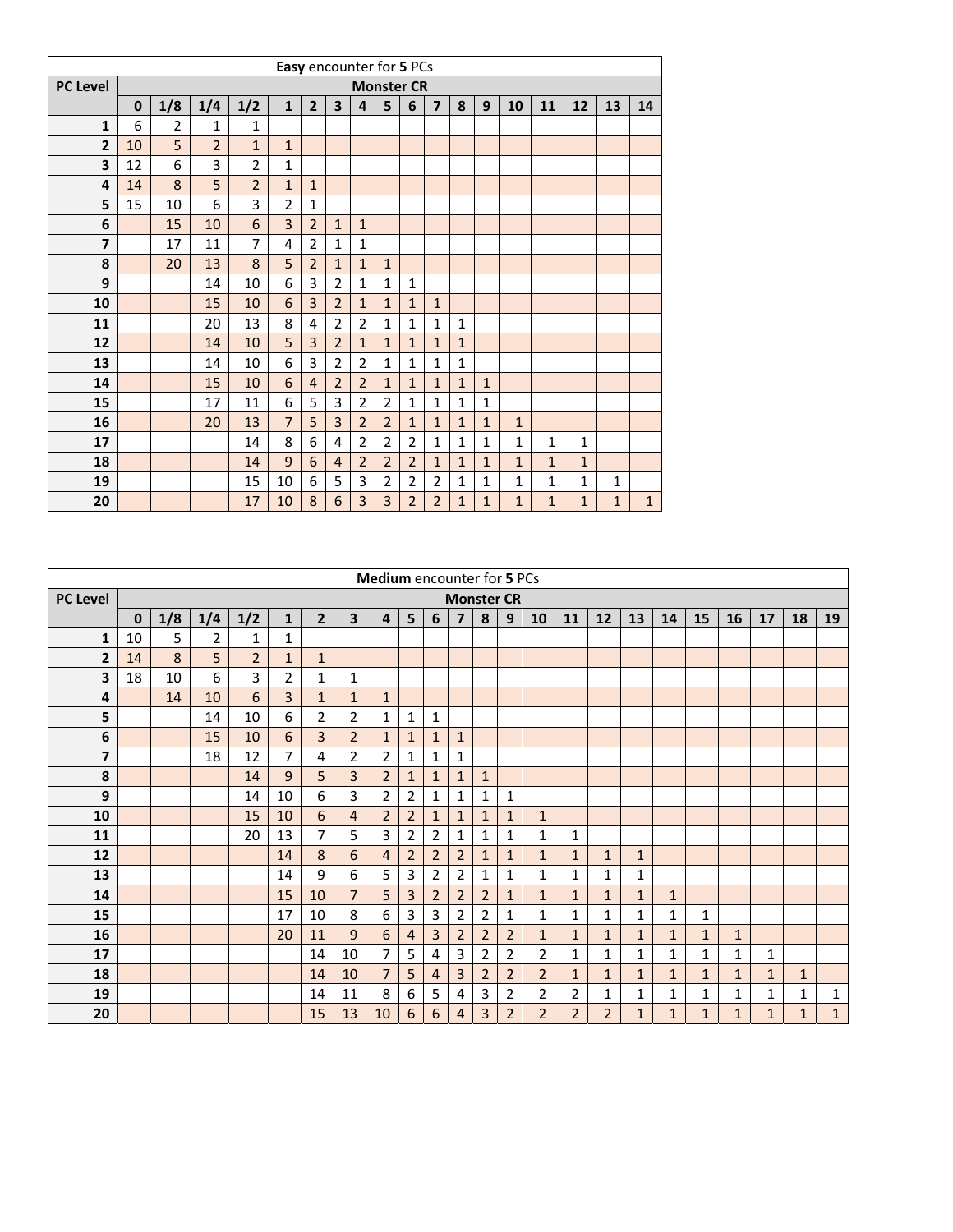|                 |    |                |                |                | Easy encounter for 5 PCs |                |                         |                |                |                   |                |              |              |              |              |              |              |              |
|-----------------|----|----------------|----------------|----------------|--------------------------|----------------|-------------------------|----------------|----------------|-------------------|----------------|--------------|--------------|--------------|--------------|--------------|--------------|--------------|
| <b>PC Level</b> |    |                |                |                |                          |                |                         |                |                | <b>Monster CR</b> |                |              |              |              |              |              |              |              |
|                 | 0  | 1/8            | 1/4            | 1/2            | $\mathbf{1}$             | $\overline{2}$ | $\overline{\mathbf{3}}$ | 4              | 5              | 6                 | $\overline{7}$ | 8            | 9            | 10           | 11           | 12           | 13           | 14           |
| $\mathbf{1}$    | 6  | $\overline{2}$ | 1              | 1              |                          |                |                         |                |                |                   |                |              |              |              |              |              |              |              |
| $\overline{2}$  | 10 | 5              | $\overline{2}$ | $\mathbf{1}$   | $\mathbf{1}$             |                |                         |                |                |                   |                |              |              |              |              |              |              |              |
| 3               | 12 | 6              | 3              | $\overline{2}$ | 1                        |                |                         |                |                |                   |                |              |              |              |              |              |              |              |
| 4               | 14 | 8              | 5              | $\overline{2}$ | $\mathbf{1}$             | $\mathbf{1}$   |                         |                |                |                   |                |              |              |              |              |              |              |              |
| 5               | 15 | 10             | 6              | 3              | $\overline{2}$           | $\mathbf{1}$   |                         |                |                |                   |                |              |              |              |              |              |              |              |
| 6               |    | 15             | 10             | 6              | 3                        | $\overline{2}$ | $\mathbf{1}$            | $\mathbf 1$    |                |                   |                |              |              |              |              |              |              |              |
| 7               |    | 17             | 11             | 7              | 4                        | $\overline{2}$ | 1                       | 1              |                |                   |                |              |              |              |              |              |              |              |
| 8               |    | 20             | 13             | 8              | 5                        | $\overline{2}$ | $\mathbf{1}$            | $\mathbf{1}$   | $\mathbf{1}$   |                   |                |              |              |              |              |              |              |              |
| 9               |    |                | 14             | 10             | 6                        | 3              | $\overline{2}$          | $\mathbf{1}$   | 1              | $\mathbf{1}$      |                |              |              |              |              |              |              |              |
| 10              |    |                | 15             | 10             | 6                        | 3              | $\overline{2}$          | $\mathbf{1}$   | $\mathbf{1}$   | $\mathbf{1}$      | $\mathbf{1}$   |              |              |              |              |              |              |              |
| 11              |    |                | 20             | 13             | 8                        | 4              | $\overline{2}$          | $\overline{2}$ | 1              | $\mathbf{1}$      | $\mathbf{1}$   | $\mathbf{1}$ |              |              |              |              |              |              |
| 12              |    |                | 14             | 10             | 5                        | $\overline{3}$ | $\overline{2}$          | $\mathbf{1}$   | $\mathbf{1}$   | $\mathbf{1}$      | $\mathbf{1}$   | $\mathbf{1}$ |              |              |              |              |              |              |
| 13              |    |                | 14             | 10             | 6                        | 3              | $\overline{2}$          | $\overline{2}$ | 1              | $\mathbf{1}$      | 1              | 1            |              |              |              |              |              |              |
| 14              |    |                | 15             | 10             | 6                        | $\overline{4}$ | $\overline{2}$          | $\overline{2}$ | $\mathbf{1}$   | $\mathbf{1}$      | $\mathbf{1}$   | $\mathbf{1}$ | $\mathbf{1}$ |              |              |              |              |              |
| 15              |    |                | 17             | 11             | 6                        | 5              | 3                       | $\overline{2}$ | $\overline{2}$ | $\mathbf{1}$      | 1              | $\mathbf{1}$ | $\mathbf{1}$ |              |              |              |              |              |
| 16              |    |                | 20             | 13             | $\overline{7}$           | 5              | 3                       | $\overline{2}$ | $\overline{2}$ | $\mathbf{1}$      | $\mathbf{1}$   | $\mathbf{1}$ | $\mathbf{1}$ | $\mathbf{1}$ |              |              |              |              |
| 17              |    |                |                | 14             | 8                        | 6              | 4                       | $\overline{2}$ | $\overline{2}$ | $\overline{2}$    | $\mathbf{1}$   | $\mathbf{1}$ | $\mathbf{1}$ | $\mathbf{1}$ | $\mathbf{1}$ | $\mathbf{1}$ |              |              |
| 18              |    |                |                | 14             | 9                        | 6              | $\overline{4}$          | $\overline{2}$ | $\overline{2}$ | $\overline{2}$    | $\mathbf{1}$   | $\mathbf{1}$ | $\mathbf{1}$ | $\mathbf{1}$ | $\mathbf{1}$ | $\mathbf{1}$ |              |              |
| 19              |    |                |                | 15             | 10                       | 6              | 5                       | 3              | $\overline{2}$ | $\overline{2}$    | $\overline{2}$ | $\mathbf{1}$ | $\mathbf{1}$ | $\mathbf{1}$ | $\mathbf{1}$ | $\mathbf{1}$ | $\mathbf{1}$ |              |
| 20              |    |                |                | 17             | 10                       | 8              | 6                       | 3              | 3              | $\overline{2}$    | $\overline{2}$ | $\mathbf{1}$ | $\mathbf{1}$ | $\mathbf{1}$ | $\mathbf{1}$ | $\mathbf{1}$ | $\mathbf{1}$ | $\mathbf{1}$ |

|                  |             |     |                |                |                |                |                         | <b>Medium</b> encounter for 5 PCs |                |                |                |                   |                |                |                |                |              |              |              |              |              |              |             |
|------------------|-------------|-----|----------------|----------------|----------------|----------------|-------------------------|-----------------------------------|----------------|----------------|----------------|-------------------|----------------|----------------|----------------|----------------|--------------|--------------|--------------|--------------|--------------|--------------|-------------|
| <b>PC Level</b>  |             |     |                |                |                |                |                         |                                   |                |                |                | <b>Monster CR</b> |                |                |                |                |              |              |              |              |              |              |             |
|                  | $\mathbf 0$ | 1/8 | 1/4            | 1/2            | $\mathbf{1}$   | $\overline{2}$ | $\overline{\mathbf{3}}$ | $\overline{4}$                    | 5              | 6              | 7              | 8                 | 9              | 10             | 11             | 12             | 13           | 14           | 15           | 16           | 17           | 18           | 19          |
| 1                | 10          | 5   | $\overline{2}$ | 1              | 1              |                |                         |                                   |                |                |                |                   |                |                |                |                |              |              |              |              |              |              |             |
| 2                | 14          | 8   | 5              | $\overline{2}$ | $\mathbf{1}$   | $\mathbf{1}$   |                         |                                   |                |                |                |                   |                |                |                |                |              |              |              |              |              |              |             |
| 3                | 18          | 10  | 6              | 3              | $\overline{2}$ | 1              | 1                       |                                   |                |                |                |                   |                |                |                |                |              |              |              |              |              |              |             |
| 4                |             | 14  | 10             | 6              | $\overline{3}$ | $\mathbf{1}$   | $\mathbf{1}$            | $\mathbf{1}$                      |                |                |                |                   |                |                |                |                |              |              |              |              |              |              |             |
| 5                |             |     | 14             | 10             | 6              | $\overline{2}$ | $\overline{2}$          | 1                                 | $\mathbf{1}$   | 1              |                |                   |                |                |                |                |              |              |              |              |              |              |             |
| 6                |             |     | 15             | 10             | 6              | $\overline{3}$ | $\overline{2}$          | $\mathbf{1}$                      | $\mathbf{1}$   | $\mathbf{1}$   | $\mathbf{1}$   |                   |                |                |                |                |              |              |              |              |              |              |             |
| 7                |             |     | 18             | 12             | $\overline{7}$ | 4              | $\overline{2}$          | $\overline{2}$                    | $\mathbf{1}$   | 1              | 1              |                   |                |                |                |                |              |              |              |              |              |              |             |
| 8                |             |     |                | 14             | 9              | 5              | $\overline{3}$          | $\overline{2}$                    | $\mathbf{1}$   | $\mathbf{1}$   | $\mathbf{1}$   | $\mathbf{1}$      |                |                |                |                |              |              |              |              |              |              |             |
| $\boldsymbol{9}$ |             |     |                | 14             | 10             | 6              | 3                       | 2                                 | $\overline{2}$ | 1              | 1              | 1                 | 1              |                |                |                |              |              |              |              |              |              |             |
| 10               |             |     |                | 15             | 10             | 6              | $\overline{4}$          | $\overline{2}$                    | $\overline{2}$ | $\mathbf{1}$   | $\mathbf{1}$   | $\mathbf{1}$      | $\mathbf{1}$   | $\mathbf{1}$   |                |                |              |              |              |              |              |              |             |
| 11               |             |     |                | 20             | 13             | $\overline{7}$ | 5                       | 3                                 | $\overline{2}$ | $\overline{2}$ | 1              | $\mathbf{1}$      | 1              | 1              | 1              |                |              |              |              |              |              |              |             |
| 12               |             |     |                |                | 14             | 8              | 6                       | 4                                 | $\overline{2}$ | $\overline{2}$ | $\overline{2}$ | $\mathbf{1}$      | $\mathbf{1}$   | $\mathbf{1}$   | $\mathbf{1}$   | $\mathbf{1}$   | $\mathbf{1}$ |              |              |              |              |              |             |
| 13               |             |     |                |                | 14             | 9              | 6                       | 5                                 | 3              | 2              | $\overline{2}$ | 1                 | 1              | 1              | 1              | $\mathbf{1}$   | 1            |              |              |              |              |              |             |
| 14               |             |     |                |                | 15             | 10             | $\overline{7}$          | 5                                 | 3              | $\overline{2}$ | $\overline{2}$ | $\overline{2}$    | $\mathbf{1}$   | $\mathbf{1}$   | $\mathbf{1}$   | $\mathbf{1}$   | $\mathbf{1}$ | $\mathbf{1}$ |              |              |              |              |             |
| 15               |             |     |                |                | 17             | 10             | 8                       | 6                                 | 3              | 3              | $\overline{2}$ | $\overline{2}$    | 1              | 1              | 1              | $\mathbf{1}$   | $\mathbf{1}$ | $\mathbf{1}$ | $\mathbf{1}$ |              |              |              |             |
| 16               |             |     |                |                | 20             | 11             | 9                       | 6                                 | $\overline{4}$ | 3              | $\overline{2}$ | $\overline{2}$    | $\overline{2}$ | $\mathbf{1}$   | $\mathbf{1}$   | $\mathbf{1}$   | $\mathbf{1}$ | $\mathbf{1}$ | $\mathbf{1}$ | $\mathbf{1}$ |              |              |             |
| 17               |             |     |                |                |                | 14             | 10                      | 7                                 | 5              | 4              | 3              | $\overline{2}$    | $\overline{2}$ | $\overline{2}$ | 1              | 1              | $\mathbf{1}$ | $\mathbf{1}$ | 1            | 1            | 1            |              |             |
| 18               |             |     |                |                |                | 14             | 10                      | 7                                 | 5              | 4              | $\overline{3}$ | $\overline{2}$    | $\overline{2}$ | $\overline{2}$ | $\mathbf{1}$   | $\mathbf{1}$   | $\mathbf{1}$ | $\mathbf{1}$ | $\mathbf{1}$ | $\mathbf{1}$ | $\mathbf{1}$ | $\mathbf{1}$ |             |
| 19               |             |     |                |                |                | 14             | 11                      | 8                                 | 6              | 5              | 4              | 3                 | $\overline{2}$ | $\overline{2}$ | $\overline{2}$ | 1              | $\mathbf{1}$ | $\mathbf{1}$ | 1            | 1            | 1            | 1            | 1           |
| 20               |             |     |                |                |                | 15             | 13                      | 10                                | 6              | 6              | 4              | 3                 | $\overline{2}$ | $\overline{2}$ | $\overline{2}$ | $\overline{2}$ | $\mathbf{1}$ | $\mathbf{1}$ | $\mathbf{1}$ | $\mathbf{1}$ | $\mathbf{1}$ | $\mathbf 1$  | $\mathbf 1$ |